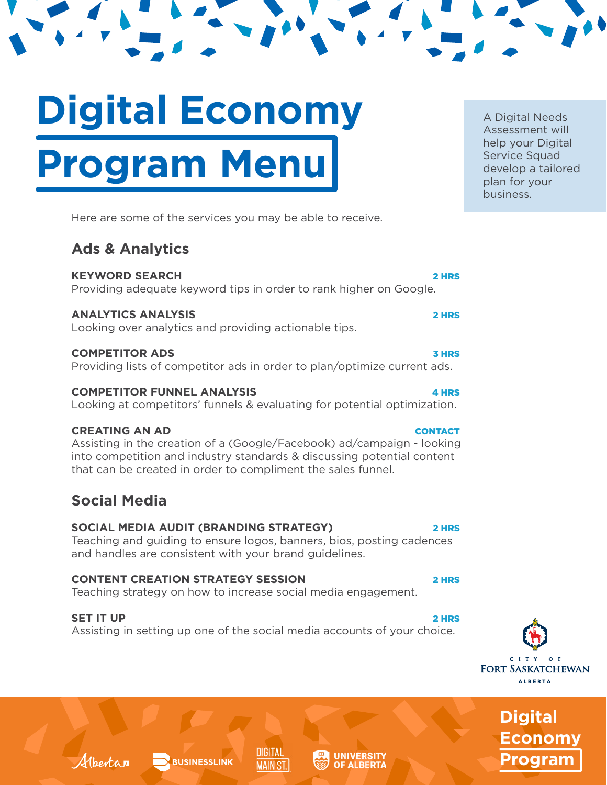# **Digital Economy Program Menu**

Here are some of the services you may be able to receive.

# **Ads & Analytics**

**KEYWORD SEARCH** 2 HRS Providing adequate keyword tips in order to rank higher on Google.

# **ANALYTICS ANALYSIS** 2 HRS

Looking over analytics and providing actionable tips.

# **COMPETITOR ADS** 3 HRS

Providing lists of competitor ads in order to plan/optimize current ads.

# **COMPETITOR FUNNEL ANALYSIS A HRS**

Looking at competitors' funnels & evaluating for potential optimization.

# **CREATING AN AD CONTACT**

Assisting in the creation of a (Google/Facebook) ad/campaign - looking into competition and industry standards & discussing potential content that can be created in order to compliment the sales funnel.

# **Social Media**

# **SOCIAL MEDIA AUDIT (BRANDING STRATEGY)** 2 HRS

**BUSINESSLINK** 

Teaching and guiding to ensure logos, banners, bios, posting cadences and handles are consistent with your brand guidelines.

# **CONTENT CREATION STRATEGY SESSION** 2 HRS

Teaching strategy on how to increase social media engagement.

# **SET IT UP** 2 HRS

Albertan

Assisting in setting up one of the social media accounts of your choice.

DIGITAL

**MAIN ST.** 



**Digital Economy Program**

A Digital Needs Assessment will help your Digital Service Squad develop a tailored plan for your business.